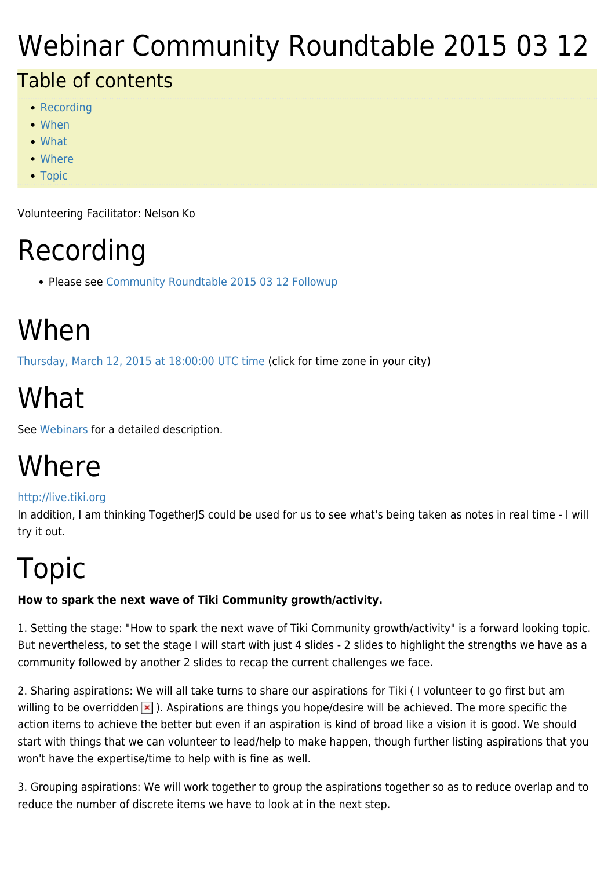### Webinar Community Roundtable 2015 03 12

#### Table of contents

- [Recording](#page--1-0)
- [When](#page--1-0)
- [What](#page--1-0)
- [Where](#page--1-0)
- [Topic](#page--1-0)

Volunteering Facilitator: Nelson Ko

## Recording

• Please see [Community Roundtable 2015 03 12 Followup](https://tiki.org/Community-Roundtable-2015-03-12-Followup)

## When

[Thursday, March 12, 2015 at 18:00:00 UTC time](http://www.timeanddate.com/worldclock/fixedtime.html?year=2015&month=03&day=12&hour=18&min=0&sec=0) (click for time zone in your city)

# What

See [Webinars](https://tiki.org/Roundtable-Meetings) for a detailed description.

#### Where

#### <http://live.tiki.org>

In addition, I am thinking TogetherJS could be used for us to see what's being taken as notes in real time - I will try it out.

# Topic

#### **How to spark the next wave of Tiki Community growth/activity.**

1. Setting the stage: "How to spark the next wave of Tiki Community growth/activity" is a forward looking topic. But nevertheless, to set the stage I will start with just 4 slides - 2 slides to highlight the strengths we have as a community followed by another 2 slides to recap the current challenges we face.

2. Sharing aspirations: We will all take turns to share our aspirations for Tiki ( I volunteer to go first but am willing to be overridden  $\geq$ ). Aspirations are things you hope/desire will be achieved. The more specific the action items to achieve the better but even if an aspiration is kind of broad like a vision it is good. We should start with things that we can volunteer to lead/help to make happen, though further listing aspirations that you won't have the expertise/time to help with is fine as well.

3. Grouping aspirations: We will work together to group the aspirations together so as to reduce overlap and to reduce the number of discrete items we have to look at in the next step.